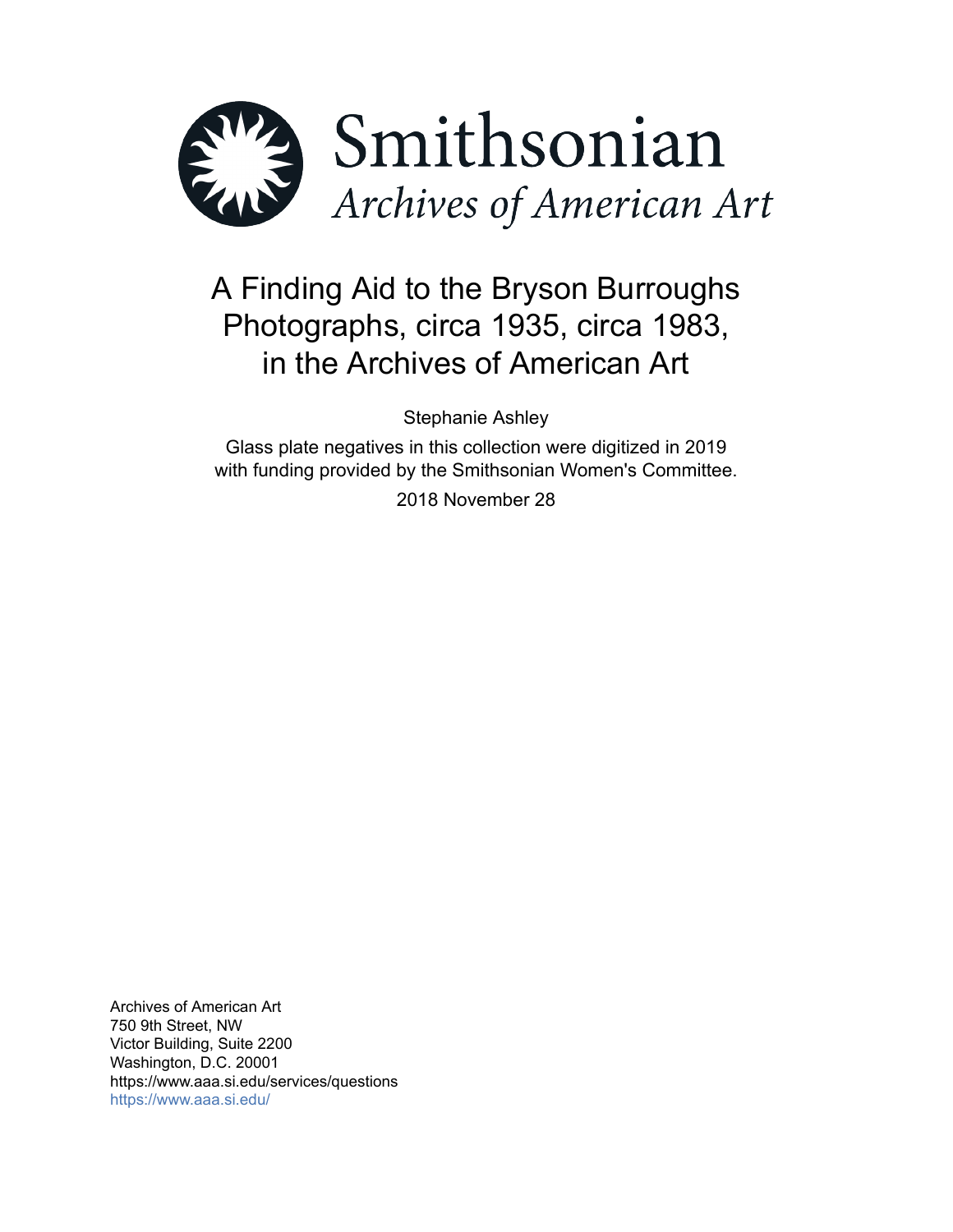

# A Finding Aid to the Bryson Burroughs Photographs, circa 1935, circa 1983, in the Archives of American Art

Stephanie Ashley

Glass plate negatives in this collection were digitized in 2019 with funding provided by the Smithsonian Women's Committee.

2018 November 28

Archives of American Art 750 9th Street, NW Victor Building, Suite 2200 Washington, D.C. 20001 https://www.aaa.si.edu/services/questions <https://www.aaa.si.edu/>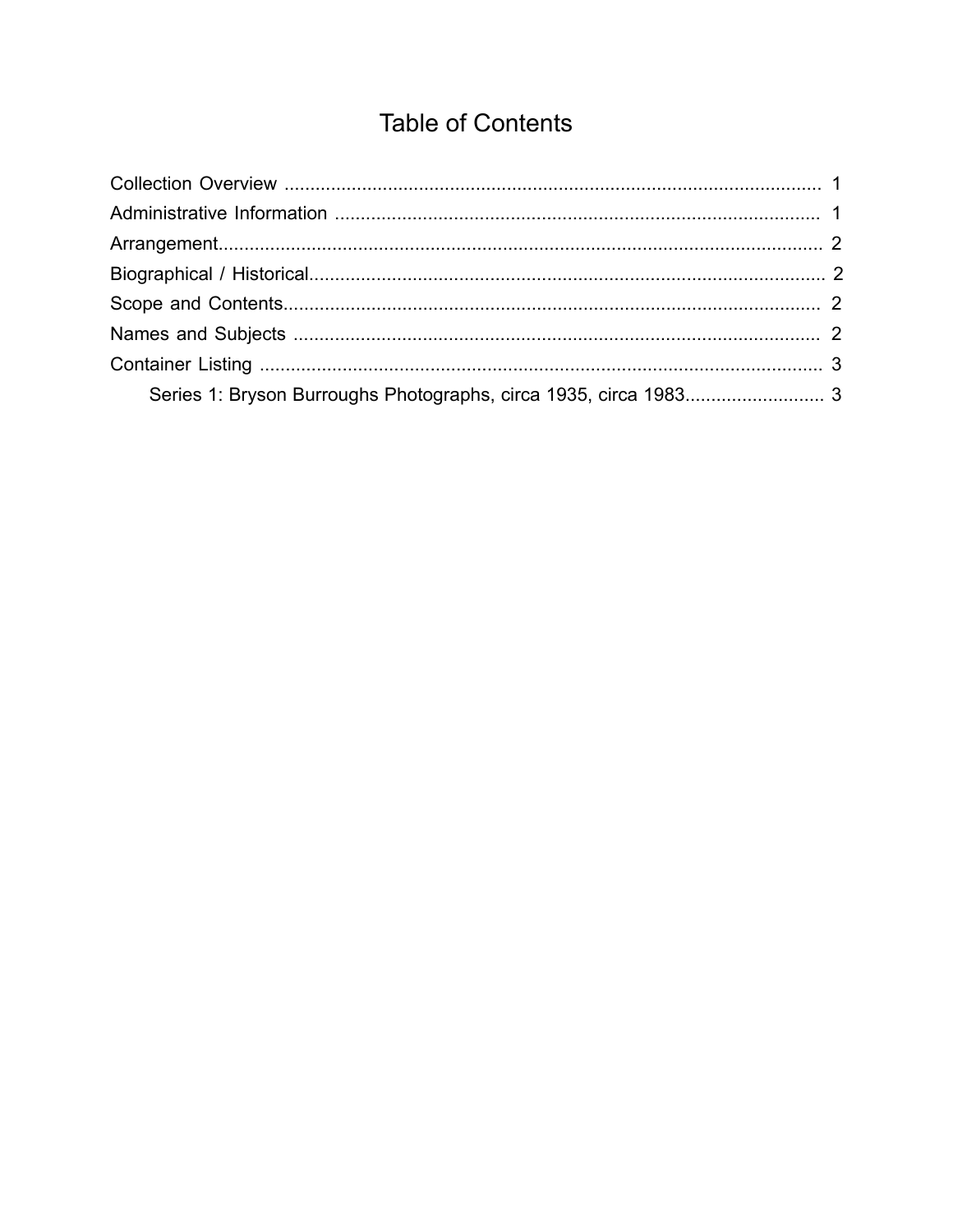## **Table of Contents**

<span id="page-1-0"></span>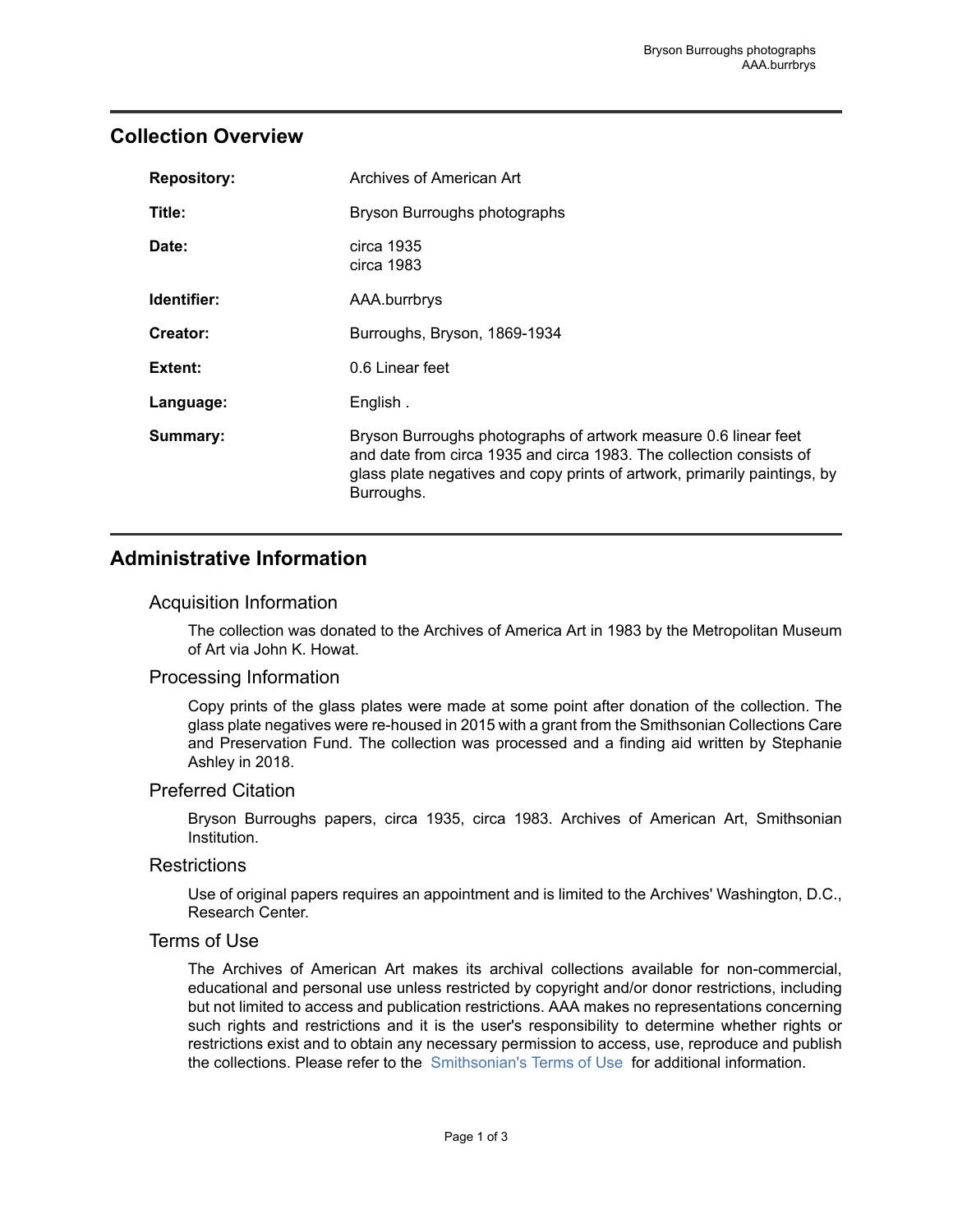## <span id="page-2-0"></span>**Collection Overview**

| <b>Repository:</b> | Archives of American Art                                                                                                                                                                                                          |
|--------------------|-----------------------------------------------------------------------------------------------------------------------------------------------------------------------------------------------------------------------------------|
| Title:             | Bryson Burroughs photographs                                                                                                                                                                                                      |
| Date:              | circa 1935<br>circa 1983                                                                                                                                                                                                          |
| Identifier:        | AAA.burrbrys                                                                                                                                                                                                                      |
| Creator:           | Burroughs, Bryson, 1869-1934                                                                                                                                                                                                      |
| Extent:            | 0.6 Linear feet                                                                                                                                                                                                                   |
| Language:          | English.                                                                                                                                                                                                                          |
| Summary:           | Bryson Burroughs photographs of artwork measure 0.6 linear feet<br>and date from circa 1935 and circa 1983. The collection consists of<br>glass plate negatives and copy prints of artwork, primarily paintings, by<br>Burroughs. |

## <span id="page-2-1"></span>**Administrative Information**

#### Acquisition Information

The collection was donated to the Archives of America Art in 1983 by the Metropolitan Museum of Art via John K. Howat.

#### Processing Information

Copy prints of the glass plates were made at some point after donation of the collection. The glass plate negatives were re-housed in 2015 with a grant from the Smithsonian Collections Care and Preservation Fund. The collection was processed and a finding aid written by Stephanie Ashley in 2018.

#### Preferred Citation

Bryson Burroughs papers, circa 1935, circa 1983. Archives of American Art, Smithsonian Institution.

#### **Restrictions**

Use of original papers requires an appointment and is limited to the Archives' Washington, D.C., Research Center.

#### Terms of Use

The Archives of American Art makes its archival collections available for non-commercial, educational and personal use unless restricted by copyright and/or donor restrictions, including but not limited to access and publication restrictions. AAA makes no representations concerning such rights and restrictions and it is the user's responsibility to determine whether rights or restrictions exist and to obtain any necessary permission to access, use, reproduce and publish the collections. Please refer to the [Smithsonian's](https://www.si.edu/termsofuse) Terms of Use for additional information.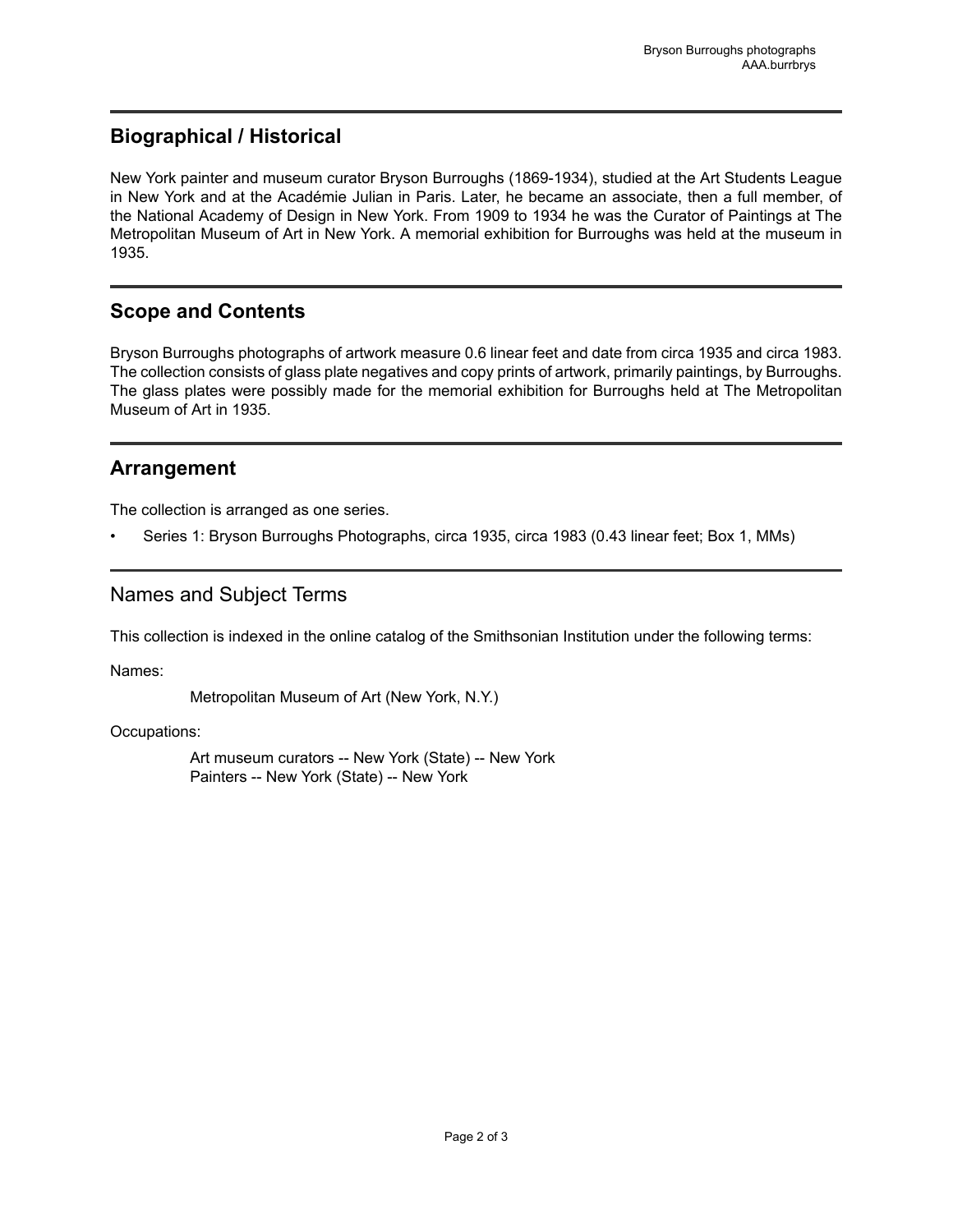## <span id="page-3-1"></span>**Biographical / Historical**

New York painter and museum curator Bryson Burroughs (1869-1934), studied at the Art Students League in New York and at the Académie Julian in Paris. Later, he became an associate, then a full member, of the National Academy of Design in New York. From 1909 to 1934 he was the Curator of Paintings at The Metropolitan Museum of Art in New York. A memorial exhibition for Burroughs was held at the museum in 1935.

## <span id="page-3-2"></span>**Scope and Contents**

Bryson Burroughs photographs of artwork measure 0.6 linear feet and date from circa 1935 and circa 1983. The collection consists of glass plate negatives and copy prints of artwork, primarily paintings, by Burroughs. The glass plates were possibly made for the memorial exhibition for Burroughs held at The Metropolitan Museum of Art in 1935.

## <span id="page-3-0"></span>**Arrangement**

The collection is arranged as one series.

• Series 1: Bryson Burroughs Photographs, circa 1935, circa 1983 (0.43 linear feet; Box 1, MMs)

## <span id="page-3-3"></span>Names and Subject Terms

This collection is indexed in the online catalog of the Smithsonian Institution under the following terms:

Names:

Metropolitan Museum of Art (New York, N.Y.)

Occupations:

Art museum curators -- New York (State) -- New York Painters -- New York (State) -- New York